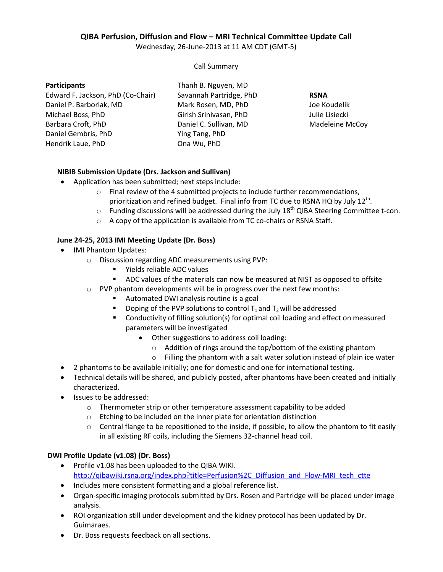# **QIBA Perfusion, Diffusion and Flow – MRI Technical Committee Update Call**

Wednesday, 26-June-2013 at 11 AM CDT (GMT-5)

Call Summary

#### **Participants**

Edward F. Jackson, PhD (Co-Chair) Daniel P. Barboriak, MD Michael Boss, PhD Barbara Croft, PhD Daniel Gembris, PhD Hendrik Laue, PhD

Thanh B. Nguyen, MD Savannah Partridge, PhD Mark Rosen, MD, PhD Girish Srinivasan, PhD Daniel C. Sullivan, MD Ying Tang, PhD Ona Wu, PhD

**RSNA** Joe Koudelik Julie Lisiecki Madeleine McCoy

## **NIBIB Submission Update (Drs. Jackson and Sullivan)**

- Application has been submitted; next steps include:
	- $\circ$  Final review of the 4 submitted projects to include further recommendations, prioritization and refined budget. Final info from TC due to RSNA HQ by July 12<sup>th</sup>.
	- $\circ$  Funding discussions will be addressed during the July 18<sup>th</sup> QIBA Steering Committee t-con.
	- o A copy of the application is available from TC co-chairs or RSNA Staff.

## **June 24-25, 2013 IMI Meeting Update (Dr. Boss)**

- IMI Phantom Updates:
	- o Discussion regarding ADC measurements using PVP:
		- Yields reliable ADC values
		- ADC values of the materials can now be measured at NIST as opposed to offsite
	- $\circ$  PVP phantom developments will be in progress over the next few months:
		- Automated DWI analysis routine is a goal
		- Doping of the PVP solutions to control  $T_1$  and  $T_2$  will be addressed
		- Conductivity of filling solution(s) for optimal coil loading and effect on measured parameters will be investigated
			- Other suggestions to address coil loading:
				- o Addition of rings around the top/bottom of the existing phantom
			- o Filling the phantom with a salt water solution instead of plain ice water
- 2 phantoms to be available initially; one for domestic and one for international testing.
- Technical details will be shared, and publicly posted, after phantoms have been created and initially characterized.
- Issues to be addressed:
	- o Thermometer strip or other temperature assessment capability to be added
	- o Etching to be included on the inner plate for orientation distinction
	- $\circ$  Central flange to be repositioned to the inside, if possible, to allow the phantom to fit easily in all existing RF coils, including the Siemens 32-channel head coil.

## **DWI Profile Update (v1.08) (Dr. Boss)**

- Profile v1.08 has been uploaded to the QIBA WIKI. http://qibawiki.rsna.org/index.php?title=Perfusion%2C\_Diffusion\_and\_Flow-MRI\_tech\_ctte
- Includes more consistent formatting and a global reference list.
- Organ-specific imaging protocols submitted by Drs. Rosen and Partridge will be placed under image analysis.
- ROI organization still under development and the kidney protocol has been updated by Dr. Guimaraes.
- Dr. Boss requests feedback on all sections.